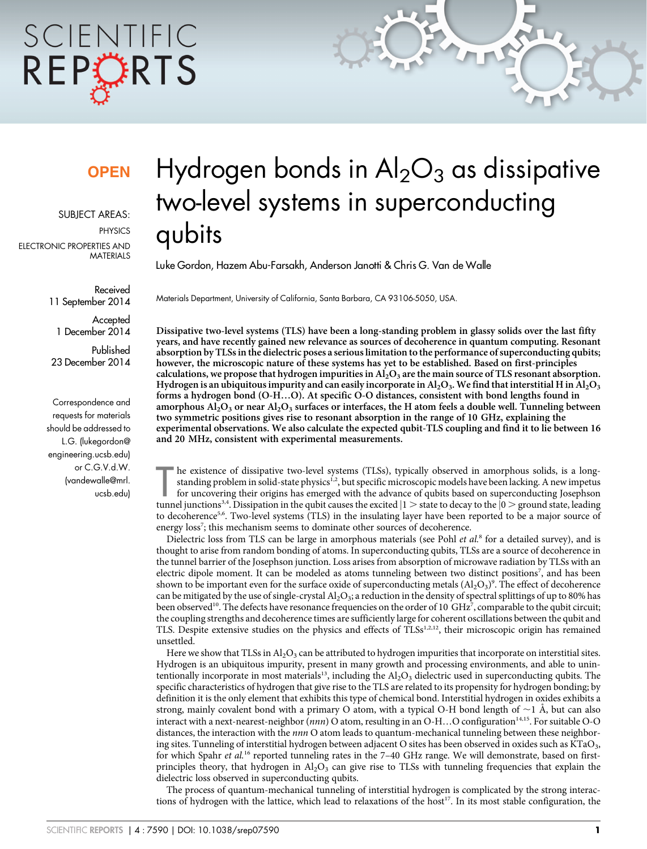# SCIENTIFIC REPCRTS

### **OPEN**

SUBJECT AREAS:

**PHYSICS** 

ELECTRONIC PROPERTIES AND MATERIALS

> Received 11 September 2014

**Accepted** 1 December 2014

Published 23 December 2014

Correspondence and requests for materials should be addressed to L.G. ([lukegordon@](mailto:lukegordon@engineering.ucsb.edu) [engineering.ucsb.edu\)](mailto:lukegordon@engineering.ucsb.edu) or C.G.V.d.W. ([vandewalle@mrl.](mailto:vandewalle@mrl.ucsb.edu) [ucsb.edu\)](mailto:vandewalle@mrl.ucsb.edu)

## Hydrogen bonds in  $\text{Al}_2\text{O}_3$  as dissipative two-level systems in superconducting qubits

Luke Gordon, Hazem Abu-Farsakh, Anderson Janotti & Chris G. Van de Walle

Materials Department, University of California, Santa Barbara, CA 93106-5050, USA.

Dissipative two-level systems (TLS) have been a long-standing problem in glassy solids over the last fifty years, and have recently gained new relevance as sources of decoherence in quantum computing. Resonant absorption by TLSs in the dielectric poses a serious limitation to the performance of superconducting qubits; however, the microscopic nature of these systems has yet to be established. Based on first-principles calculations, we propose that hydrogen impurities in  $A<sub>12</sub>O<sub>3</sub>$  are the main source of TLS resonant absorption. Hydrogen is an ubiquitous impurity and can easily incorporate in  $Al_2O_3$ . We find that interstitial H in  $Al_2O_3$ forms a hydrogen bond (O-H…O). At specific O-O distances, consistent with bond lengths found in amorphous  $\text{Al}_2\text{O}_3$  or near  $\text{Al}_2\text{O}_3$  surfaces or interfaces, the H atom feels a double well. Tunneling between two symmetric positions gives rise to resonant absorption in the range of 10 GHz, explaining the experimental observations. We also calculate the expected qubit-TLS coupling and find it to lie between 16 and 20 MHz, consistent with experimental measurements.

The existence of dissipative two-level systems (TLSs), typically observed in amorphous solids, is a long-<br>standing problem in solid-state physics<sup>1,2</sup>, but specific microscopic models have been lacking. A new impetus<br>for he existence of dissipative two-level systems (TLSs), typically observed in amorphous solids, is a longstanding problem in solid-state physics<sup>1,2</sup>, but specific microscopic models have been lacking. A new impetus for uncovering their origins has emerged with the advance of qubits based on superconducting Josephson to decoherence<sup>5,6</sup>. Two-level systems (TLS) in the insulating layer have been reported to be a major source of energy loss<sup>7</sup>; this mechanism seems to dominate other sources of decoherence.

Dielectric loss from TLS can be large in amorphous materials (see Pohl *et al.<sup>8</sup>* for a detailed survey), and is thought to arise from random bonding of atoms. In superconducting qubits, TLSs are a source of decoherence in the tunnel barrier of the Josephson junction. Loss arises from absorption of microwave radiation by TLSs with an electric dipole moment. It can be modeled as atoms tunneling between two distinct positions<sup>7</sup>, and has been shown to be important even for the surface oxide of superconducting metals  $({\rm Al}_2{\rm O}_3)^9$ . The effect of decoherence can be mitigated by the use of single-crystal  $Al_2O_3$ ; a reduction in the density of spectral splittings of up to 80% has been observed<sup>10</sup>. The defects have resonance frequencies on the order of 10 GHz<sup>7</sup>, comparable to the qubit circuit; the coupling strengths and decoherence times are sufficiently large for coherent oscillations between the qubit and TLS. Despite extensive studies on the physics and effects of TLSs<sup>1,2,12</sup>, their microscopic origin has remained unsettled.

Here we show that TLSs in  $A_2O_3$  can be attributed to hydrogen impurities that incorporate on interstitial sites. Hydrogen is an ubiquitous impurity, present in many growth and processing environments, and able to unintentionally incorporate in most materials<sup>13</sup>, including the  $A<sub>1</sub>O<sub>3</sub>$  dielectric used in superconducting qubits. The specific characteristics of hydrogen that give rise to the TLS are related to its propensity for hydrogen bonding; by definition it is the only element that exhibits this type of chemical bond. Interstitial hydrogen in oxides exhibits a strong, mainly covalent bond with a primary O atom, with a typical O-H bond length of  $\sim$ 1 Å, but can also interact with a next-nearest-neighbor  $(nnn)$  O atom, resulting in an O-H…O configuration<sup>14,15</sup>. For suitable O-O distances, the interaction with the *nnn* O atom leads to quantum-mechanical tunneling between these neighboring sites. Tunneling of interstitial hydrogen between adjacent O sites has been observed in oxides such as KTaO<sub>3</sub>, for which Spahr et al.<sup>16</sup> reported tunneling rates in the 7-40 GHz range. We will demonstrate, based on firstprinciples theory, that hydrogen in  $Al_2O_3$  can give rise to TLSs with tunneling frequencies that explain the dielectric loss observed in superconducting qubits.

The process of quantum-mechanical tunneling of interstitial hydrogen is complicated by the strong interactions of hydrogen with the lattice, which lead to relaxations of the host<sup>17</sup>. In its most stable configuration, the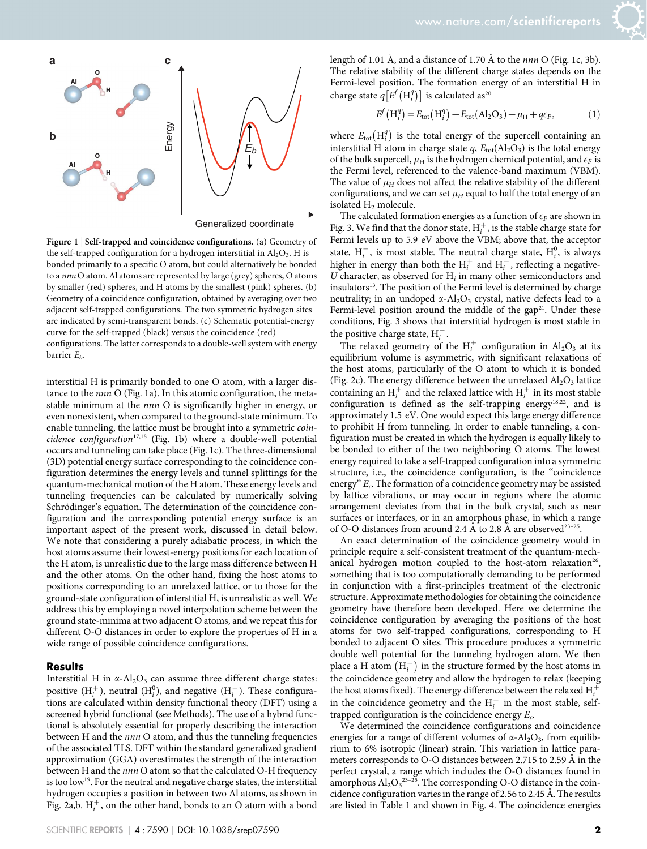

Figure 1 <sup>|</sup> Self-trapped and coincidence configurations. (a) Geometry of the self-trapped configuration for a hydrogen interstitial in  $Al_2O_3$ . H is bonded primarily to a specific O atom, but could alternatively be bonded to a nnn O atom. Al atoms are represented by large (grey) spheres, O atoms by smaller (red) spheres, and H atoms by the smallest (pink) spheres. (b) Geometry of a coincidence configuration, obtained by averaging over two adjacent self-trapped configurations. The two symmetric hydrogen sites are indicated by semi-transparent bonds. (c) Schematic potential-energy curve for the self-trapped (black) versus the coincidence (red)

configurations. The latter corresponds to a double-well system with energy barrier  $E_h$ .

interstitial H is primarily bonded to one O atom, with a larger distance to the nnn O (Fig. 1a). In this atomic configuration, the metastable minimum at the *nnn* O is significantly higher in energy, or even nonexistent, when compared to the ground-state minimum. To enable tunneling, the lattice must be brought into a symmetric coin $cidence$   $configuration^{17,18}$  (Fig. 1b) where a double-well potential occurs and tunneling can take place (Fig. 1c). The three-dimensional (3D) potential energy surface corresponding to the coincidence configuration determines the energy levels and tunnel splittings for the quantum-mechanical motion of the H atom. These energy levels and tunneling frequencies can be calculated by numerically solving Schrödinger's equation. The determination of the coincidence configuration and the corresponding potential energy surface is an important aspect of the present work, discussed in detail below. We note that considering a purely adiabatic process, in which the host atoms assume their lowest-energy positions for each location of the H atom, is unrealistic due to the large mass difference between H and the other atoms. On the other hand, fixing the host atoms to positions corresponding to an unrelaxed lattice, or to those for the ground-state configuration of interstitial H, is unrealistic as well. We address this by employing a novel interpolation scheme between the ground state-minima at two adjacent O atoms, and we repeat this for different O-O distances in order to explore the properties of H in a wide range of possible coincidence configurations.

#### **Results**

Interstitial H in  $\alpha$ -Al<sub>2</sub>O<sub>3</sub> can assume three different charge states: positive  $(H_i^+)$ , neutral  $(H_i^0)$ , and negative  $(H_i^-)$ . These configurations are calculated within density functional theory (DFT) using a screened hybrid functional (see Methods). The use of a hybrid functional is absolutely essential for properly describing the interaction between H and the nnn O atom, and thus the tunneling frequencies of the associated TLS. DFT within the standard generalized gradient approximation (GGA) overestimates the strength of the interaction between H and the nnn O atom so that the calculated O-H frequency is too low<sup>19</sup>. For the neutral and negative charge states, the interstitial hydrogen occupies a position in between two Al atoms, as shown in Fig. 2a,b.  $H_i^+$ , on the other hand, bonds to an O atom with a bond

length of 1.01 Å, and a distance of 1.70 Å to the *nnn* O (Fig. 1c, 3b). The relative stability of the different charge states depends on the Fermi-level position. The formation energy of an interstitial H in charge state  $q[E^f(H_i^q)]$  is calculated as<sup>20</sup>

$$
E^{f}(H_{i}^{q}) = E_{\text{tot}}(H_{i}^{q}) - E_{\text{tot}}(Al_{2}O_{3}) - \mu_{H} + q\epsilon_{F},
$$
\n(1)

where  $E_{\text{tot}}\left(\mathbf{H}_{i}^{q}\right)$  is the total energy of the supercell containing an interstitial H atom in charge state  $q$ ,  $E_{tot}(Al_2O_3)$  is the total energy of the bulk supercell,  $\mu_H$  is the hydrogen chemical potential, and  $\epsilon_F$  is the Fermi level, referenced to the valence-band maximum (VBM). The value of  $\mu$ <sub>H</sub> does not affect the relative stability of the different configurations, and we can set  $\mu_H$  equal to half the total energy of an isolated H<sub>2</sub> molecule.

The calculated formation energies as a function of  $\epsilon_F$  are shown in Fig. 3. We find that the donor state,  $\boldsymbol{\mathrm{H}}_i^+$  , is the stable charge state for Fermi levels up to 5.9 eV above the VBM; above that, the acceptor state,  $H_i^-$ , is most stable. The neutral charge state,  $H_i^0$ , is always higher in energy than both the  $H_i^+$  and  $H_i^-$ , reflecting a negative-U character, as observed for  $H_i$  in many other semiconductors and insulators<sup>13</sup>. The position of the Fermi level is determined by charge neutrality; in an undoped  $\alpha$ -Al<sub>2</sub>O<sub>3</sub> crystal, native defects lead to a Fermi-level position around the middle of the gap<sup>21</sup>. Under these conditions, Fig. 3 shows that interstitial hydrogen is most stable in the positive charge state,  $H_i^+$ .

The relaxed geometry of the  $H_i^+$  configuration in  $Al_2O_3$  at its equilibrium volume is asymmetric, with significant relaxations of the host atoms, particularly of the O atom to which it is bonded (Fig. 2c). The energy difference between the unrelaxed  $Al_2O_3$  lattice containing an  $H_i^+$  and the relaxed lattice with  $H_i^+$  in its most stable configuration is defined as the self-trapping energy<sup>18,22</sup>, and is approximately 1.5 eV. One would expect this large energy difference to prohibit H from tunneling. In order to enable tunneling, a configuration must be created in which the hydrogen is equally likely to be bonded to either of the two neighboring O atoms. The lowest energy required to take a self-trapped configuration into a symmetric structure, i.e., the coincidence configuration, is the ''coincidence energy"  $E_c$ . The formation of a coincidence geometry may be assisted by lattice vibrations, or may occur in regions where the atomic arrangement deviates from that in the bulk crystal, such as near surfaces or interfaces, or in an amorphous phase, in which a range of O-O distances from around 2.4 Å to 2.8 Å are observed<sup>23-25</sup>.

An exact determination of the coincidence geometry would in principle require a self-consistent treatment of the quantum-mechanical hydrogen motion coupled to the host-atom relaxation<sup>26</sup>, something that is too computationally demanding to be performed in conjunction with a first-principles treatment of the electronic structure. Approximate methodologies for obtaining the coincidence geometry have therefore been developed. Here we determine the coincidence configuration by averaging the positions of the host atoms for two self-trapped configurations, corresponding to H bonded to adjacent O sites. This procedure produces a symmetric double well potential for the tunneling hydrogen atom. We then place a H atom  $(H_i^+)$  in the structure formed by the host atoms in the coincidence geometry and allow the hydrogen to relax (keeping the host atoms fixed). The energy difference between the relaxed  $H_i^+$ in the coincidence geometry and the  $H_i^+$  in the most stable, selftrapped configuration is the coincidence energy  $E_c$ .

We determined the coincidence configurations and coincidence energies for a range of different volumes of  $\alpha$ -Al<sub>2</sub>O<sub>3</sub>, from equilibrium to 6% isotropic (linear) strain. This variation in lattice parameters corresponds to O-O distances between 2.715 to 2.59 Å in the perfect crystal, a range which includes the O-O distances found in amorphous  $Al_2O_3^{23-25}$ . The corresponding O-O distance in the coincidence configuration varies in the range of 2.56 to 2.45 Å. The results are listed in Table 1 and shown in Fig. 4. The coincidence energies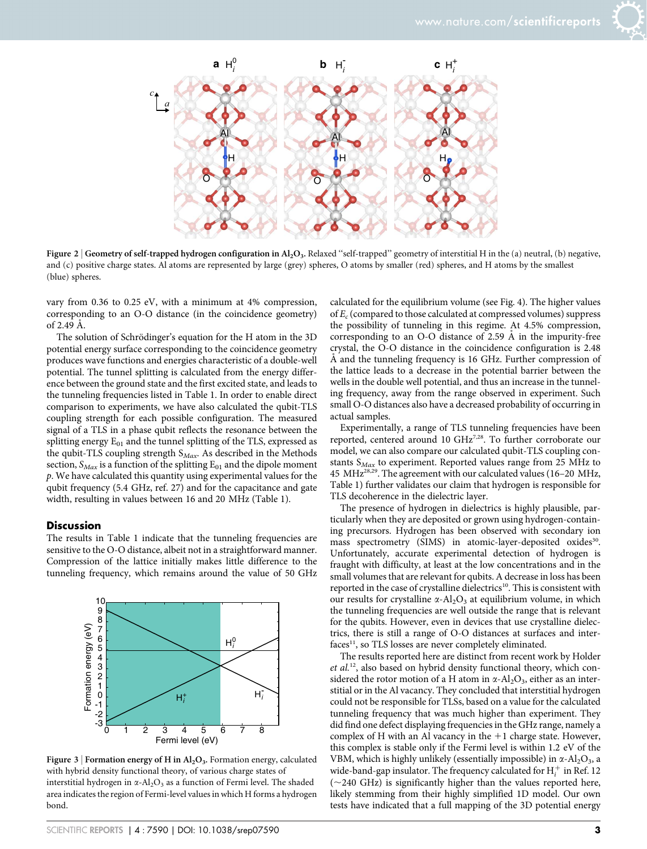



Figure 2 | Geometry of self-trapped hydrogen configuration in  $Al_2O_3$ . Relaxed "self-trapped" geometry of interstitial H in the (a) neutral, (b) negative, and (c) positive charge states. Al atoms are represented by large (grey) spheres, O atoms by smaller (red) spheres, and H atoms by the smallest (blue) spheres.

vary from 0.36 to 0.25 eV, with a minimum at 4% compression, corresponding to an O-O distance (in the coincidence geometry) of  $2.49 \text{ Å}$ .

The solution of Schrödinger's equation for the H atom in the 3D potential energy surface corresponding to the coincidence geometry produces wave functions and energies characteristic of a double-well potential. The tunnel splitting is calculated from the energy difference between the ground state and the first excited state, and leads to the tunneling frequencies listed in Table 1. In order to enable direct comparison to experiments, we have also calculated the qubit-TLS coupling strength for each possible configuration. The measured signal of a TLS in a phase qubit reflects the resonance between the splitting energy  $E_{01}$  and the tunnel splitting of the TLS, expressed as the qubit-TLS coupling strength  $S_{Max}$ . As described in the Methods section,  $S_{Max}$  is a function of the splitting  $E_{01}$  and the dipole moment p. We have calculated this quantity using experimental values for the qubit frequency (5.4 GHz, ref. 27) and for the capacitance and gate width, resulting in values between 16 and 20 MHz (Table 1).

#### **Discussion**

The results in Table 1 indicate that the tunneling frequencies are sensitive to the O-O distance, albeit not in a straightforward manner. Compression of the lattice initially makes little difference to the tunneling frequency, which remains around the value of 50 GHz



Figure 3 | Formation energy of H in  $\text{Al}_2\text{O}_3$ . Formation energy, calculated with hybrid density functional theory, of various charge states of interstitial hydrogen in  $\alpha$ -Al<sub>2</sub>O<sub>3</sub> as a function of Fermi level. The shaded area indicates the region of Fermi-level values in which H forms a hydrogen bond.

calculated for the equilibrium volume (see Fig. 4). The higher values of  $E_c$  (compared to those calculated at compressed volumes) suppress the possibility of tunneling in this regime. At 4.5% compression, corresponding to an O-O distance of 2.59 Å in the impurity-free crystal, the O-O distance in the coincidence configuration is 2.48 Å and the tunneling frequency is 16 GHz. Further compression of the lattice leads to a decrease in the potential barrier between the wells in the double well potential, and thus an increase in the tunneling frequency, away from the range observed in experiment. Such small O-O distances also have a decreased probability of occurring in actual samples.

Experimentally, a range of TLS tunneling frequencies have been reported, centered around 10 GHz<sup>7,28</sup>. To further corroborate our model, we can also compare our calculated qubit-TLS coupling constants  $S_{Max}$  to experiment. Reported values range from 25 MHz to 45 MHz28,29. The agreement with our calculated values (16–20 MHz, Table 1) further validates our claim that hydrogen is responsible for TLS decoherence in the dielectric layer.

The presence of hydrogen in dielectrics is highly plausible, particularly when they are deposited or grown using hydrogen-containing precursors. Hydrogen has been observed with secondary ion mass spectrometry (SIMS) in atomic-layer-deposited oxides<sup>30</sup>. Unfortunately, accurate experimental detection of hydrogen is fraught with difficulty, at least at the low concentrations and in the small volumes that are relevant for qubits. A decrease in loss has been reported in the case of crystalline dielectrics<sup>10</sup>. This is consistent with our results for crystalline  $\alpha$ -Al<sub>2</sub>O<sub>3</sub> at equilibrium volume, in which the tunneling frequencies are well outside the range that is relevant for the qubits. However, even in devices that use crystalline dielectrics, there is still a range of O-O distances at surfaces and inter $faces<sup>11</sup>$ , so TLS losses are never completely eliminated.

The results reported here are distinct from recent work by Holder  $et al.<sup>12</sup>$ , also based on hybrid density functional theory, which considered the rotor motion of a H atom in  $\alpha$ -Al<sub>2</sub>O<sub>3</sub>, either as an interstitial or in the Al vacancy. They concluded that interstitial hydrogen could not be responsible for TLSs, based on a value for the calculated tunneling frequency that was much higher than experiment. They did find one defect displaying frequencies in the GHz range, namely a complex of H with an Al vacancy in the  $+1$  charge state. However, this complex is stable only if the Fermi level is within 1.2 eV of the VBM, which is highly unlikely (essentially impossible) in  $\alpha$ -Al<sub>2</sub>O<sub>3</sub>, a wide-band-gap insulator. The frequency calculated for  $\mathrm{H}_i^+$  in Ref. 12  $(-240 \text{ GHz})$  is significantly higher than the values reported here, likely stemming from their highly simplified 1D model. Our own tests have indicated that a full mapping of the 3D potential energy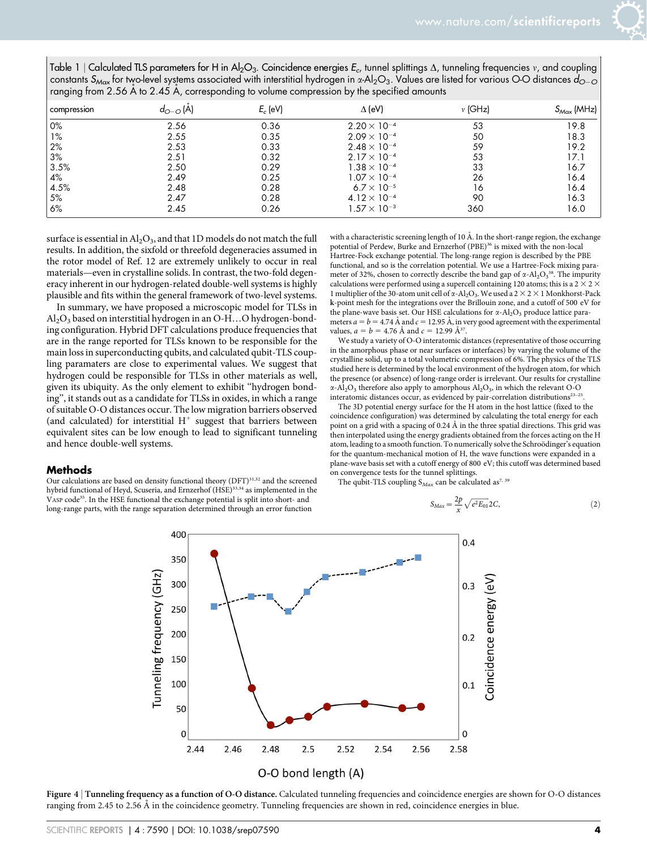| Table 1   Calculated TLS parameters for H in Al <sub>2</sub> O <sub>3</sub> . Coincidence energies $E_c$ , tunnel splittings $\Delta$ , tunneling frequencies v, and coupling      |
|------------------------------------------------------------------------------------------------------------------------------------------------------------------------------------|
| constants S <sub>Max</sub> for two-level systems associated with interstitial hydrogen in x-Al <sub>2</sub> O <sub>3</sub> . Values are listed for various O-O distances $d_{Q-Q}$ |
| ranging from 2.56 A to 2.45 A, corresponding to volume compression by the specified amounts                                                                                        |

| compression | $d_{O-O}$ (A) | $E_c$ (eV) | $\Delta$ (eV)                 | $v$ (GHz) | $S_{Max}$ (MHz) |
|-------------|---------------|------------|-------------------------------|-----------|-----------------|
| 0%          | 2.56          | 0.36       | $2.20 \times 10^{-4}$         | 53        | 19.8            |
| $1\%$       | 2.55          | 0.35       | $2.09 \times 10^{-4}$         | 50        | 18.3            |
| 2%          | 2.53          | 0.33       | $2.48 \times 10^{-4}$         | 59        | 19.2            |
| 3%          | 2.51          | 0.32       | $2.17 \times 10^{-4}$         | 53        | 17.1            |
| 3.5%        | 2.50          | 0.29       | $1.38 \times 10^{-4}$         | 33        | 16.7            |
| 4%          | 2.49          | 0.25       | $1.07 \times 10^{-4}$         | 26        | 16.4            |
| 4.5%        | 2.48          | 0.28       | 6.7 $\times$ 10 <sup>-5</sup> | 16        | 16.4            |
| 5%          | 2.47          | 0.28       | $4.12 \times 10^{-4}$         | 90        | 16.3            |
| 6%          | 2.45          | 0.26       | $1.57 \times 10^{-3}$         | 360       | 16.0            |

surface is essential in  $\text{Al}_2\text{O}_3$ , and that 1D models do not match the full results. In addition, the sixfold or threefold degeneracies assumed in the rotor model of Ref. 12 are extremely unlikely to occur in real materials—even in crystalline solids. In contrast, the two-fold degeneracy inherent in our hydrogen-related double-well systems is highly plausible and fits within the general framework of two-level systems.

In summary, we have proposed a microscopic model for TLSs in  $\text{Al}_2\text{O}_3$  based on interstitial hydrogen in an O-H...O hydrogen-bonding configuration. Hybrid DFT calculations produce frequencies that are in the range reported for TLSs known to be responsible for the main loss in superconducting qubits, and calculated qubit-TLS coupling paramaters are close to experimental values. We suggest that hydrogen could be responsible for TLSs in other materials as well, given its ubiquity. As the only element to exhibit ''hydrogen bonding'', it stands out as a candidate for TLSs in oxides, in which a range of suitable O-O distances occur. The low migration barriers observed (and calculated) for interstitial  $H^+$  suggest that barriers between equivalent sites can be low enough to lead to significant tunneling and hence double-well systems.

#### **Methods**

Our calculations are based on density functional theory (DFT)<sup>31,32</sup> and the screened hybrid functional of Heyd, Scuseria, and Ernzerhof (HSE)<sup>33,34</sup> as implemented in the VASP code35. In the HSE functional the exchange potential is split into short- and long-range parts, with the range separation determined through an error function

with a characteristic screening length of 10 Å. In the short-range region, the exchange potential of Perdew, Burke and Ernzerhof (PBE)<sup>36</sup> is mixed with the non-local Hartree-Fock exchange potential. The long-range region is described by the PBE functional, and so is the correlation potential. We use a Hartree-Fock mixing parameter of 32%, chosen to correctly describe the band gap of  $\alpha$ -Al<sub>2</sub>O<sub>3</sub><sup>38</sup>. The impurity calculations were performed using a supercell containing 120 atoms; this is a 2  $\times$  2  $\times$ 1 multiplier of the 30-atom unit cell of  $\alpha$ -Al<sub>2</sub>O<sub>3</sub>. We used a 2  $\times$  2  $\times$  1 Monkhorst-Pack k-point mesh for the integrations over the Brillouin zone, and a cutoff of 500 eV for the plane-wave basis set. Our HSE calculations for  $\alpha$ -Al<sub>2</sub>O<sub>3</sub> produce lattice parameters  $a = b = 4.74$  Å and  $c = 12.95$  Å, in very good agreement with the experimental values,  $a = b = 4.76 \text{ Å}$  and  $c = 12.99 \text{ Å}^{37}$ .

We study a variety of O-O interatomic distances (representative of those occurring in the amorphous phase or near surfaces or interfaces) by varying the volume of the crystalline solid, up to a total volumetric compression of 6%. The physics of the TLS studied here is determined by the local environment of the hydrogen atom, for which the presence (or absence) of long-range order is irrelevant. Our results for crystalline  $\alpha$ -Al<sub>2</sub>O<sub>3</sub> therefore also apply to amorphous Al<sub>2</sub>O<sub>3</sub>, in which the relevant O-O interatomic distances occur, as evidenced by pair-correlation distributions $23-25$ 

The 3D potential energy surface for the H atom in the host lattice (fixed to the coincidence configuration) was determined by calculating the total energy for each point on a grid with a spacing of 0.24 Å in the three spatial directions. This grid was then interpolated using the energy gradients obtained from the forces acting on the H atom, leading to a smooth function. To numerically solve the Schroödinger's equation for the quantum-mechanical motion of H, the wave functions were expanded in a plane-wave basis set with a cutoff energy of 800 eV; this cutoff was determined based on convergence tests for the tunnel splittings.

The qubit-TLS coupling  $S_{Max}$  can be calculated as<sup>7, 39</sup>

$$
S_{Max} = \frac{2p}{x} \sqrt{e^2 E_{01}} 2C,
$$
\n(2)



Figure 4 <sup>|</sup> Tunneling frequency as a function of O-O distance. Calculated tunneling frequencies and coincidence energies are shown for O-O distances ranging from 2.45 to 2.56 Å in the coincidence geometry. Tunneling frequencies are shown in red, coincidence energies in blue.